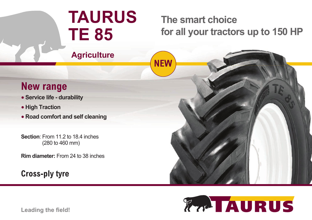# **TAURUS TE 85**

## **The smart choice for all your tractors up to 150 HP**

**Agriculture**

### **New range**

- **Service life durability**
- **High Traction**
- **Road comfort and self cleaning**

**Section**: From 11.2 to 18.4 inches (280 to 460 mm)

**Rim diameter:** From 24 to 38 inches

#### **Cross-ply tyre**





**Leading the field!**